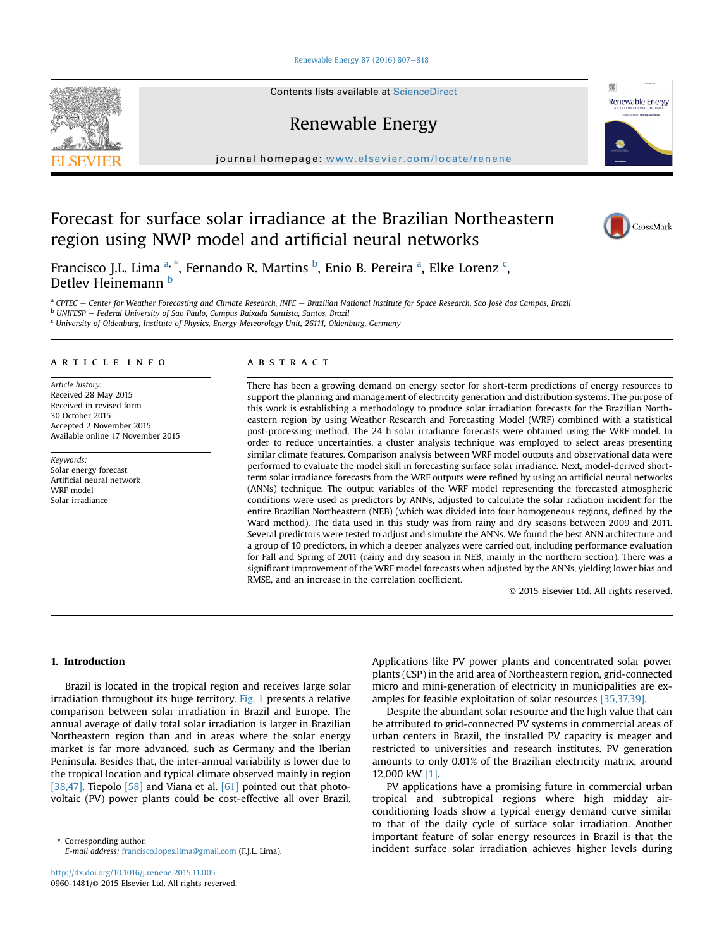#### [Renewable Energy 87 \(2016\) 807](http://dx.doi.org/10.1016/j.renene.2015.11.005)-[818](http://dx.doi.org/10.1016/j.renene.2015.11.005)

Contents lists available at ScienceDirect

Renewable Energy

journal homepage: [www.elsevier.com/locate/renene](http://www.elsevier.com/locate/renene)

# Forecast for surface solar irradiance at the Brazilian Northeastern region using NWP model and artificial neural networks

Francisco J.L. Lima <sup>a, \*</sup>, Fernando R. Martins <sup>b</sup>, Enio B. Pereira <sup>a</sup>, Elke Lorenz <sup>c</sup>, Detlev Heinemann b

<sup>a</sup> CPTEC – Center for Weather Forecasting and Climate Research, INPE – Brazilian National Institute for Space Research, São José dos Campos, Brazi

<sup>b</sup> UNIFESP - Federal University of São Paulo, Campus Baixada Santista, Santos, Brazil

 $c$  University of Oldenburg, Institute of Physics, Energy Meteorology Unit, 26111, Oldenburg, Germany

## article info

Article history: Received 28 May 2015 Received in revised form 30 October 2015 Accepted 2 November 2015 Available online 17 November 2015

Keywords: Solar energy forecast Artificial neural network WRF model Solar irradiance

# ABSTRACT

There has been a growing demand on energy sector for short-term predictions of energy resources to support the planning and management of electricity generation and distribution systems. The purpose of this work is establishing a methodology to produce solar irradiation forecasts for the Brazilian Northeastern region by using Weather Research and Forecasting Model (WRF) combined with a statistical post-processing method. The 24 h solar irradiance forecasts were obtained using the WRF model. In order to reduce uncertainties, a cluster analysis technique was employed to select areas presenting similar climate features. Comparison analysis between WRF model outputs and observational data were performed to evaluate the model skill in forecasting surface solar irradiance. Next, model-derived shortterm solar irradiance forecasts from the WRF outputs were refined by using an artificial neural networks (ANNs) technique. The output variables of the WRF model representing the forecasted atmospheric conditions were used as predictors by ANNs, adjusted to calculate the solar radiation incident for the entire Brazilian Northeastern (NEB) (which was divided into four homogeneous regions, defined by the Ward method). The data used in this study was from rainy and dry seasons between 2009 and 2011. Several predictors were tested to adjust and simulate the ANNs. We found the best ANN architecture and a group of 10 predictors, in which a deeper analyzes were carried out, including performance evaluation for Fall and Spring of 2011 (rainy and dry season in NEB, mainly in the northern section). There was a significant improvement of the WRF model forecasts when adjusted by the ANNs, yielding lower bias and RMSE, and an increase in the correlation coefficient.

© 2015 Elsevier Ltd. All rights reserved.

## 1. Introduction

Brazil is located in the tropical region and receives large solar irradiation throughout its huge territory. Fig. 1 presents a relative comparison between solar irradiation in Brazil and Europe. The annual average of daily total solar irradiation is larger in Brazilian Northeastern region than and in areas where the solar energy market is far more advanced, such as Germany and the Iberian Peninsula. Besides that, the inter-annual variability is lower due to the tropical location and typical climate observed mainly in region [38,47]. Tiepolo  $[58]$  and Viana et al.  $[61]$  pointed out that photovoltaic (PV) power plants could be cost-effective all over Brazil.

E-mail address: [francisco.lopes.lima@gmail.com](mailto:francisco.lopes.lima@gmail.com) (F.J.L. Lima).

Applications like PV power plants and concentrated solar power plants (CSP) in the arid area of Northeastern region, grid-connected micro and mini-generation of electricity in municipalities are examples for feasible exploitation of solar resources [35,37,39].

Despite the abundant solar resource and the high value that can be attributed to grid-connected PV systems in commercial areas of urban centers in Brazil, the installed PV capacity is meager and restricted to universities and research institutes. PV generation amounts to only 0.01% of the Brazilian electricity matrix, around 12,000 kW [1].

PV applications have a promising future in commercial urban tropical and subtropical regions where high midday airconditioning loads show a typical energy demand curve similar to that of the daily cycle of surface solar irradiation. Another important feature of solar energy resources in Brazil is that the Important reature or solar energy resources in brazil is that the<br>E-mail address: francisco lones lima@gmail.com (FIL Ijma) incident surface solar irradiation achieves higher levels during





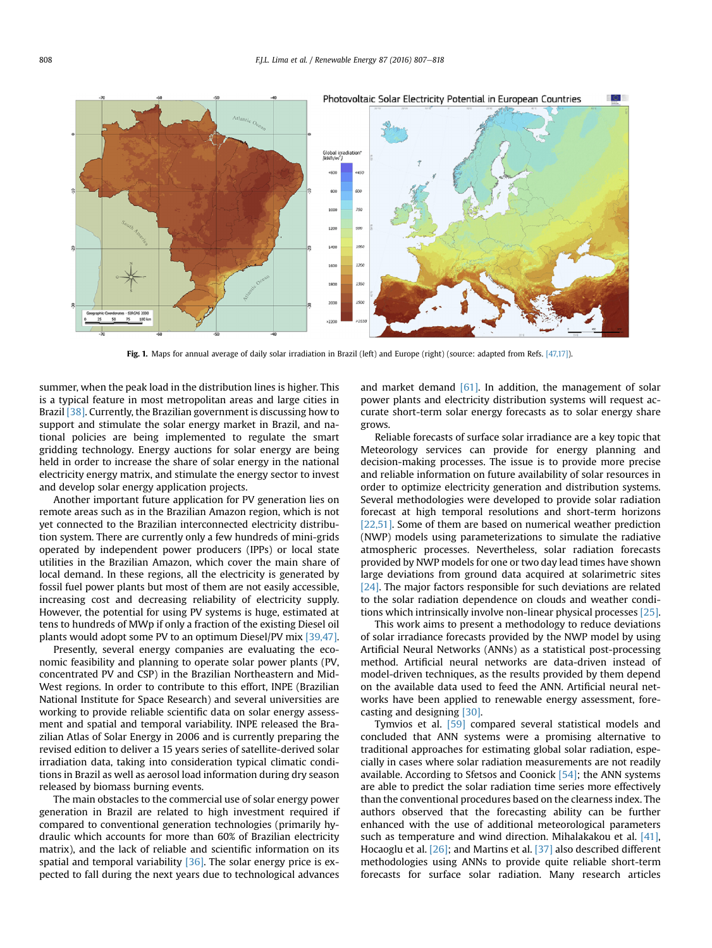

Fig. 1. Maps for annual average of daily solar irradiation in Brazil (left) and Europe (right) (source: adapted from Refs. [47,17]).

summer, when the peak load in the distribution lines is higher. This is a typical feature in most metropolitan areas and large cities in Brazil [38]. Currently, the Brazilian government is discussing how to support and stimulate the solar energy market in Brazil, and national policies are being implemented to regulate the smart gridding technology. Energy auctions for solar energy are being held in order to increase the share of solar energy in the national electricity energy matrix, and stimulate the energy sector to invest and develop solar energy application projects.

Another important future application for PV generation lies on remote areas such as in the Brazilian Amazon region, which is not yet connected to the Brazilian interconnected electricity distribution system. There are currently only a few hundreds of mini-grids operated by independent power producers (IPPs) or local state utilities in the Brazilian Amazon, which cover the main share of local demand. In these regions, all the electricity is generated by fossil fuel power plants but most of them are not easily accessible, increasing cost and decreasing reliability of electricity supply. However, the potential for using PV systems is huge, estimated at tens to hundreds of MWp if only a fraction of the existing Diesel oil plants would adopt some PV to an optimum Diesel/PV mix [39,47].

Presently, several energy companies are evaluating the economic feasibility and planning to operate solar power plants (PV, concentrated PV and CSP) in the Brazilian Northeastern and Mid-West regions. In order to contribute to this effort, INPE (Brazilian National Institute for Space Research) and several universities are working to provide reliable scientific data on solar energy assessment and spatial and temporal variability. INPE released the Brazilian Atlas of Solar Energy in 2006 and is currently preparing the revised edition to deliver a 15 years series of satellite-derived solar irradiation data, taking into consideration typical climatic conditions in Brazil as well as aerosol load information during dry season released by biomass burning events.

The main obstacles to the commercial use of solar energy power generation in Brazil are related to high investment required if compared to conventional generation technologies (primarily hydraulic which accounts for more than 60% of Brazilian electricity matrix), and the lack of reliable and scientific information on its spatial and temporal variability [36]. The solar energy price is expected to fall during the next years due to technological advances and market demand  $[61]$ . In addition, the management of solar power plants and electricity distribution systems will request accurate short-term solar energy forecasts as to solar energy share grows.

Reliable forecasts of surface solar irradiance are a key topic that Meteorology services can provide for energy planning and decision-making processes. The issue is to provide more precise and reliable information on future availability of solar resources in order to optimize electricity generation and distribution systems. Several methodologies were developed to provide solar radiation forecast at high temporal resolutions and short-term horizons [22,51]. Some of them are based on numerical weather prediction (NWP) models using parameterizations to simulate the radiative atmospheric processes. Nevertheless, solar radiation forecasts provided by NWP models for one or two day lead times have shown large deviations from ground data acquired at solarimetric sites [24]. The major factors responsible for such deviations are related to the solar radiation dependence on clouds and weather conditions which intrinsically involve non-linear physical processes [25].

This work aims to present a methodology to reduce deviations of solar irradiance forecasts provided by the NWP model by using Artificial Neural Networks (ANNs) as a statistical post-processing method. Artificial neural networks are data-driven instead of model-driven techniques, as the results provided by them depend on the available data used to feed the ANN. Artificial neural networks have been applied to renewable energy assessment, forecasting and designing [30].

Tymvios et al. [59] compared several statistical models and concluded that ANN systems were a promising alternative to traditional approaches for estimating global solar radiation, especially in cases where solar radiation measurements are not readily available. According to Sfetsos and Coonick [54]; the ANN systems are able to predict the solar radiation time series more effectively than the conventional procedures based on the clearness index. The authors observed that the forecasting ability can be further enhanced with the use of additional meteorological parameters such as temperature and wind direction. Mihalakakou et al. [41], Hocaoglu et al. [26]; and Martins et al. [37] also described different methodologies using ANNs to provide quite reliable short-term forecasts for surface solar radiation. Many research articles